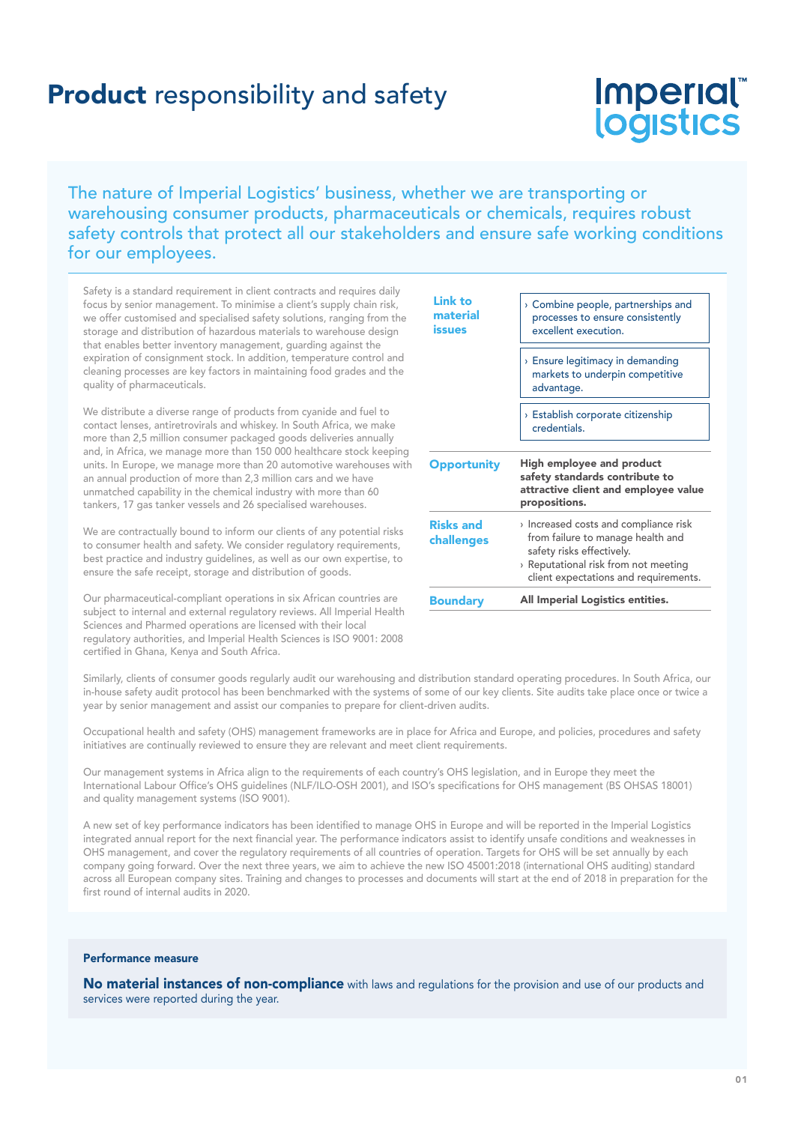## **Product** responsibility and safety

# Imperial logistics

## The nature of Imperial Logistics' business, whether we are transporting or warehousing consumer products, pharmaceuticals or chemicals, requires robust safety controls that protect all our stakeholders and ensure safe working conditions for our employees.

Safety is a standard requirement in client contracts and requires daily focus by senior management. To minimise a client's supply chain risk, we offer customised and specialised safety solutions, ranging from the storage and distribution of hazardous materials to warehouse design that enables better inventory management, guarding against the expiration of consignment stock. In addition, temperature control and cleaning processes are key factors in maintaining food grades and the quality of pharmaceuticals.

We distribute a diverse range of products from cyanide and fuel to contact lenses, antiretrovirals and whiskey. In South Africa, we make more than 2,5 million consumer packaged goods deliveries annually and, in Africa, we manage more than 150 000 healthcare stock keeping units. In Europe, we manage more than 20 automotive warehouses with an annual production of more than 2,3 million cars and we have unmatched capability in the chemical industry with more than 60 tankers, 17 gas tanker vessels and 26 specialised warehouses.

We are contractually bound to inform our clients of any potential risks to consumer health and safety. We consider regulatory requirements, best practice and industry guidelines, as well as our own expertise, to ensure the safe receipt, storage and distribution of goods.

Our pharmaceutical-compliant operations in six African countries are subject to internal and external regulatory reviews. All Imperial Health Sciences and Pharmed operations are licensed with their local regulatory authorities, and Imperial Health Sciences is ISO 9001: 2008 certified in Ghana, Kenya and South Africa.

| <b>Boundary</b>                      | All Imperial Logistics entities.                                                                                                                                                       |
|--------------------------------------|----------------------------------------------------------------------------------------------------------------------------------------------------------------------------------------|
| <b>Risks and</b><br>challenges       | Increased costs and compliance risk<br>from failure to manage health and<br>safety risks effectively.<br>> Reputational risk from not meeting<br>client expectations and requirements. |
| <b>Opportunity</b>                   | High employee and product<br>safety standards contribute to<br>attractive client and employee value<br>propositions.                                                                   |
|                                      | > Establish corporate citizenship<br>credentials.                                                                                                                                      |
|                                      | $\rightarrow$ Ensure legitimacy in demanding<br>markets to underpin competitive<br>advantage.                                                                                          |
| <b>Link to</b><br>material<br>issues | > Combine people, partnerships and<br>processes to ensure consistently<br>excellent execution.                                                                                         |

Similarly, clients of consumer goods regularly audit our warehousing and distribution standard operating procedures. In South Africa, our in-house safety audit protocol has been benchmarked with the systems of some of our key clients. Site audits take place once or twice a year by senior management and assist our companies to prepare for client-driven audits.

Occupational health and safety (OHS) management frameworks are in place for Africa and Europe, and policies, procedures and safety initiatives are continually reviewed to ensure they are relevant and meet client requirements.

Our management systems in Africa align to the requirements of each country's OHS legislation, and in Europe they meet the International Labour Office's OHS guidelines (NLF/ILO-OSH 2001), and ISO's specifications for OHS management (BS OHSAS 18001) and quality management systems (ISO 9001).

A new set of key performance indicators has been identified to manage OHS in Europe and will be reported in the Imperial Logistics integrated annual report for the next financial year. The performance indicators assist to identify unsafe conditions and weaknesses in OHS management, and cover the regulatory requirements of all countries of operation. Targets for OHS will be set annually by each company going forward. Over the next three years, we aim to achieve the new ISO 45001:2018 (international OHS auditing) standard across all European company sites. Training and changes to processes and documents will start at the end of 2018 in preparation for the first round of internal audits in 2020.

## Performance measure

No material instances of non-compliance with laws and regulations for the provision and use of our products and services were reported during the year.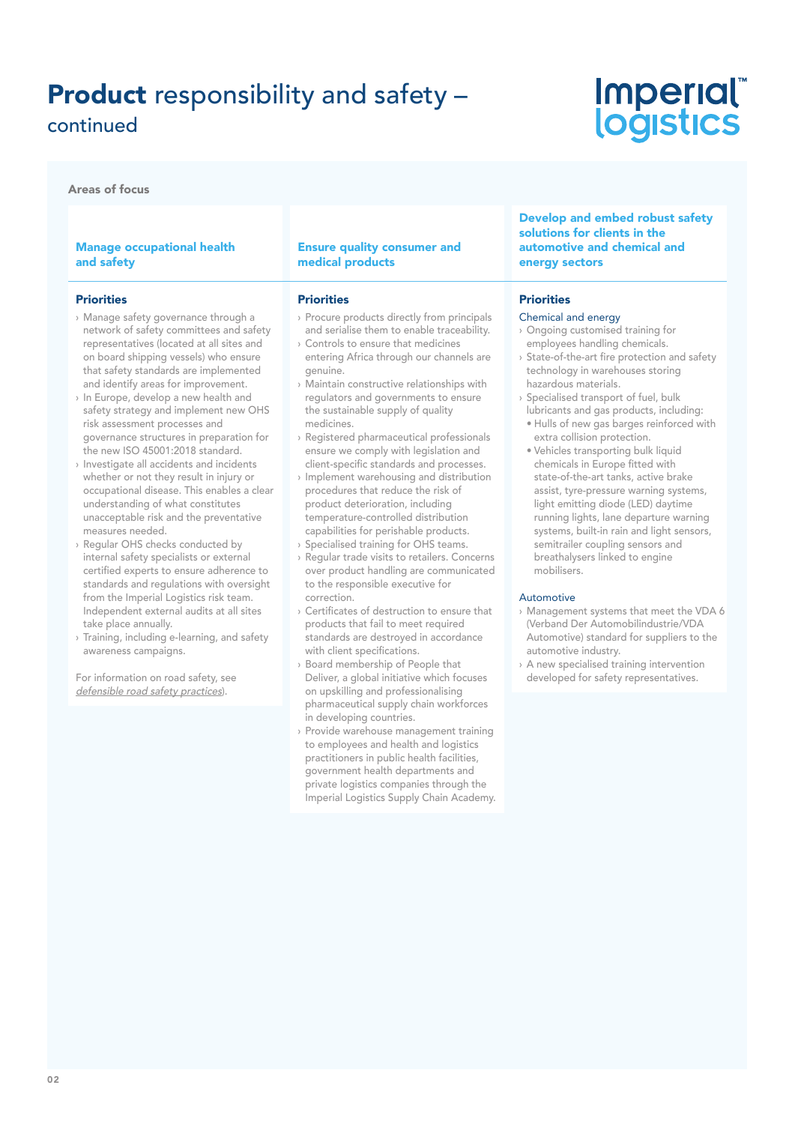## Product responsibility and safety – continued

Areas of focus

### Manage occupational health and safety

#### **Priorities**

- › Manage safety governance through a network of safety committees and safety representatives (located at all sites and on board shipping vessels) who ensure that safety standards are implemented and identify areas for improvement.
- › In Europe, develop a new health and safety strategy and implement new OHS risk assessment processes and governance structures in preparation for the new ISO 45001:2018 standard.
- › Investigate all accidents and incidents whether or not they result in injury or occupational disease. This enables a clear understanding of what constitutes unacceptable risk and the preventative measures needed.
- Regular OHS checks conducted by internal safety specialists or external certified experts to ensure adherence to standards and regulations with oversight from the Imperial Logistics risk team. Independent external audits at all sites take place annually.
- › Training, including e-learning, and safety awareness campaigns.

For information on road safety, see defensible road safety practices).

#### Ensure quality consumer and medical products

#### **Priorities**

- › Procure products directly from principals and serialise them to enable traceability.
- › Controls to ensure that medicines entering Africa through our channels are genuine.
- › Maintain constructive relationships with regulators and governments to ensure the sustainable supply of quality medicines.
- › Registered pharmaceutical professionals ensure we comply with legislation and client-specific standards and processes.
- › Implement warehousing and distribution procedures that reduce the risk of product deterioration, including temperature-controlled distribution capabilities for perishable products.
- › Specialised training for OHS teams.
- › Regular trade visits to retailers. Concerns over product handling are communicated to the responsible executive for correction.
- › Certificates of destruction to ensure that products that fail to meet required standards are destroyed in accordance with client specifications.
- › Board membership of People that Deliver, a global initiative which focuses on upskilling and professionalising pharmaceutical supply chain workforces in developing countries.
- › Provide warehouse management training to employees and health and logistics practitioners in public health facilities, government health departments and private logistics companies through the Imperial Logistics Supply Chain Academy.

Develop and embed robust safety solutions for clients in the automotive and chemical and energy sectors

*Imperial* 

logistics

#### **Priorities**

## Chemical and energy

- › Ongoing customised training for employees handling chemicals.
- › State-of-the-art fire protection and safety technology in warehouses storing hazardous materials.
- › Specialised transport of fuel, bulk lubricants and gas products, including:
	- Hulls of new gas barges reinforced with extra collision protection.
- Vehicles transporting bulk liquid chemicals in Europe fitted with state-of-the-art tanks, active brake assist, tyre-pressure warning systems, light emitting diode (LED) daytime running lights, lane departure warning systems, built-in rain and light sensors, semitrailer coupling sensors and breathalysers linked to engine mobilisers.

#### **Automotive**

- › Management systems that meet the VDA 6 (Verband Der Automobilindustrie/VDA Automotive) standard for suppliers to the automotive industry.
- › A new specialised training intervention developed for safety representatives.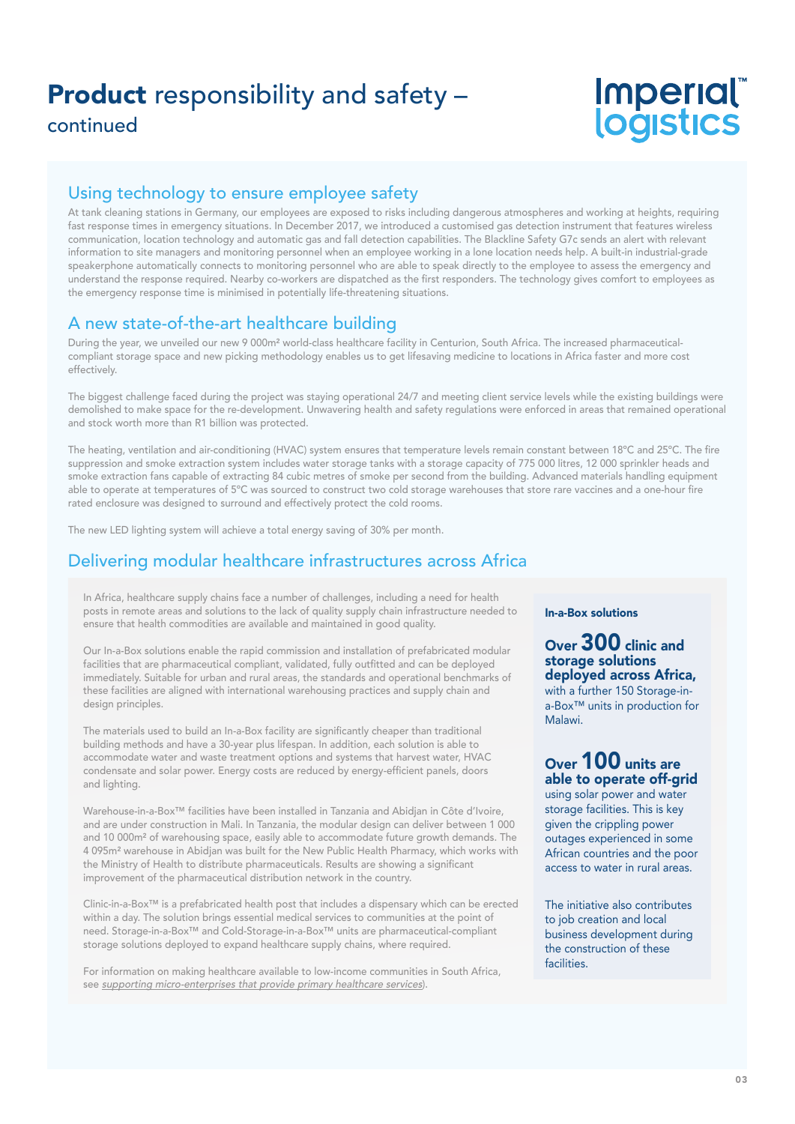## Product responsibility and safety – continued

# Imperial®<br>logistics

## Using technology to ensure employee safety

At tank cleaning stations in Germany, our employees are exposed to risks including dangerous atmospheres and working at heights, requiring fast response times in emergency situations. In December 2017, we introduced a customised gas detection instrument that features wireless communication, location technology and automatic gas and fall detection capabilities. The Blackline Safety G7c sends an alert with relevant information to site managers and monitoring personnel when an employee working in a lone location needs help. A built-in industrial-grade speakerphone automatically connects to monitoring personnel who are able to speak directly to the employee to assess the emergency and understand the response required. Nearby co-workers are dispatched as the first responders. The technology gives comfort to employees as the emergency response time is minimised in potentially life-threatening situations.

## A new state-of-the-art healthcare building

During the year, we unveiled our new 9 000m² world-class healthcare facility in Centurion, South Africa. The increased pharmaceuticalcompliant storage space and new picking methodology enables us to get lifesaving medicine to locations in Africa faster and more cost effectively.

The biggest challenge faced during the project was staying operational 24/7 and meeting client service levels while the existing buildings were demolished to make space for the re-development. Unwavering health and safety regulations were enforced in areas that remained operational and stock worth more than R1 billion was protected.

The heating, ventilation and air-conditioning (HVAC) system ensures that temperature levels remain constant between 18ºC and 25ºC. The fire suppression and smoke extraction system includes water storage tanks with a storage capacity of 775 000 litres, 12 000 sprinkler heads and smoke extraction fans capable of extracting 84 cubic metres of smoke per second from the building. Advanced materials handling equipment able to operate at temperatures of 5ºC was sourced to construct two cold storage warehouses that store rare vaccines and a one-hour fire rated enclosure was designed to surround and effectively protect the cold rooms.

The new LED lighting system will achieve a total energy saving of 30% per month.

## Delivering modular healthcare infrastructures across Africa

In Africa, healthcare supply chains face a number of challenges, including a need for health posts in remote areas and solutions to the lack of quality supply chain infrastructure needed to ensure that health commodities are available and maintained in good quality.

Our In-a-Box solutions enable the rapid commission and installation of prefabricated modular facilities that are pharmaceutical compliant, validated, fully outfitted and can be deployed immediately. Suitable for urban and rural areas, the standards and operational benchmarks of these facilities are aligned with international warehousing practices and supply chain and design principles.

The materials used to build an In-a-Box facility are significantly cheaper than traditional building methods and have a 30-year plus lifespan. In addition, each solution is able to accommodate water and waste treatment options and systems that harvest water, HVAC condensate and solar power. Energy costs are reduced by energy-efficient panels, doors and lighting.

Warehouse-in-a-Box™ facilities have been installed in Tanzania and Abidjan in Côte d'Ivoire, and are under construction in Mali. In Tanzania, the modular design can deliver between 1 000 and 10 000m² of warehousing space, easily able to accommodate future growth demands. The 4 095m² warehouse in Abidjan was built for the New Public Health Pharmacy, which works with the Ministry of Health to distribute pharmaceuticals. Results are showing a significant improvement of the pharmaceutical distribution network in the country.

Clinic-in-a-Box™ is a prefabricated health post that includes a dispensary which can be erected within a day. The solution brings essential medical services to communities at the point of need. Storage-in-a-Box™ and Cold-Storage-in-a-Box™ units are pharmaceutical-compliant storage solutions deployed to expand healthcare supply chains, where required.

For information on making healthcare available to low-income communities in South Africa, see supporting micro-enterprises that provide primary healthcare services).

## In-a-Box solutions

## Over 300 clinic and storage solutions deployed across Africa, with a further 150 Storage-ina-Box™ units in production for Malawi.

## Over 100 units are able to operate off-grid

using solar power and water storage facilities. This is key given the crippling power outages experienced in some African countries and the poor access to water in rural areas.

The initiative also contributes to job creation and local business development during the construction of these **facilities**